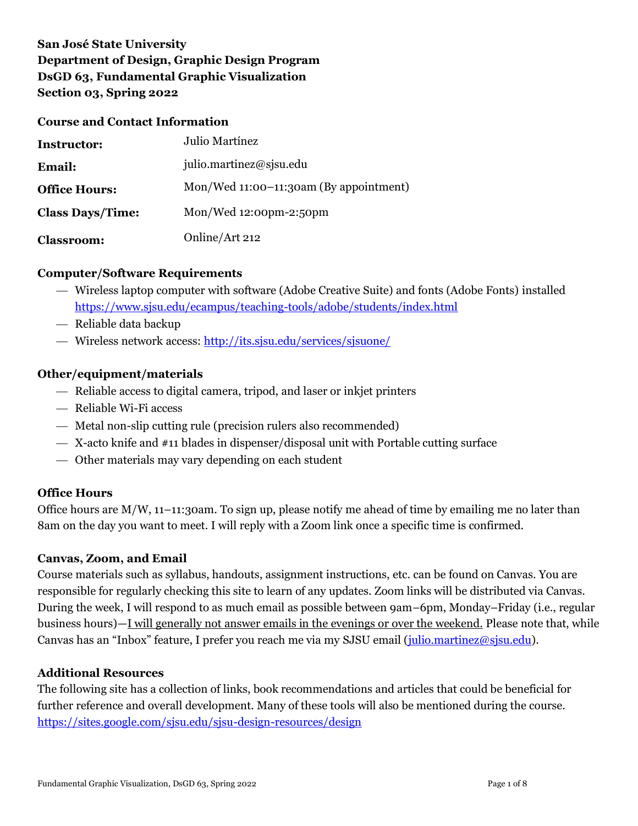# **San José State University Department of Design, Graphic Design Program DsGD 63, Fundamental Graphic Visualization Section 03, Spring 2022**

#### **Course and Contact Information**

| <b>Instructor:</b>      | Julio Martínez                         |
|-------------------------|----------------------------------------|
| <b>Email:</b>           | julio.martinez@sjsu.edu                |
| <b>Office Hours:</b>    | Mon/Wed 11:00-11:30am (By appointment) |
| <b>Class Days/Time:</b> | Mon/Wed 12:00pm-2:50pm                 |
| <b>Classroom:</b>       | Online/Art 212                         |

### **Computer/Software Requirements**

- Wireless laptop computer with software (Adobe Creative Suite) and fonts (Adobe Fonts) installed <https://www.sjsu.edu/ecampus/teaching-tools/adobe/students/index.html>
- Reliable data backup
- Wireless network access:<http://its.sjsu.edu/services/sjsuone/>

### **Other/equipment/materials**

- Reliable access to digital camera, tripod, and laser or inkjet printers
- Reliable Wi-Fi access
- Metal non-slip cutting rule (precision rulers also recommended)
- X-acto knife and #11 blades in dispenser/disposal unit with Portable cutting surface
- Other materials may vary depending on each student

### **Office Hours**

Office hours are M/W, 11–11:30am. To sign up, please notify me ahead of time by emailing me no later than 8am on the day you want to meet. I will reply with a Zoom link once a specific time is confirmed.

### **Canvas, Zoom, and Email**

Course materials such as syllabus, handouts, assignment instructions, etc. can be found on Canvas. You are responsible for regularly checking this site to learn of any updates. Zoom links will be distributed via Canvas. During the week, I will respond to as much email as possible between 9am–6pm, Monday–Friday (i.e., regular business hours)—I will generally not answer emails in the evenings or over the weekend. Please note that, while Canvas has an "Inbox" feature, I prefer you reach me via my SJSU email (*julio.martinez@sjsu.edu*).

### **Additional Resources**

The following site has a collection of links, book recommendations and articles that could be beneficial for further reference and overall development. Many of these tools will also be mentioned during the course. <https://sites.google.com/sjsu.edu/sjsu-design-resources/design>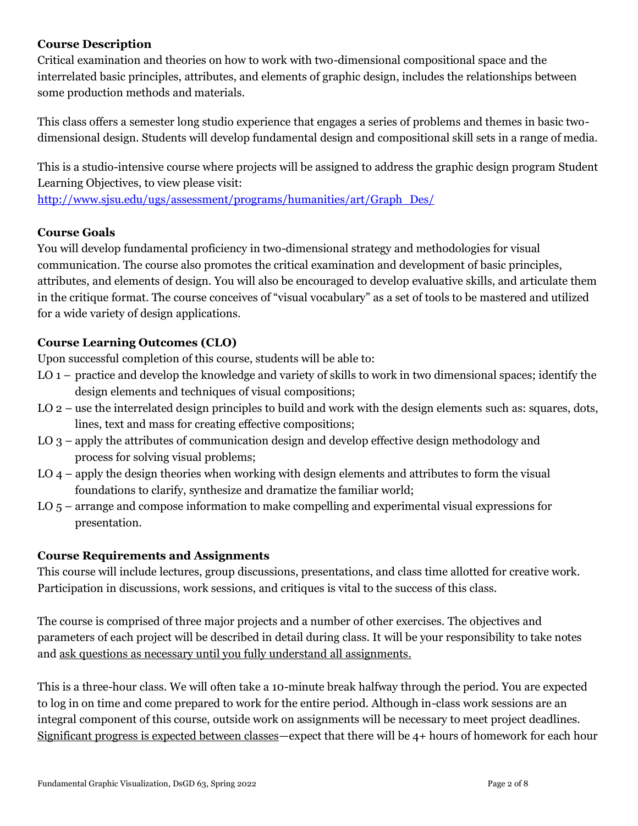## **Course Description**

Critical examination and theories on how to work with two-dimensional compositional space and the interrelated basic principles, attributes, and elements of graphic design, includes the relationships between some production methods and materials.

This class offers a semester long studio experience that engages a series of problems and themes in basic twodimensional design. Students will develop fundamental design and compositional skill sets in a range of media.

This is a studio-intensive course where projects will be assigned to address the graphic design program Student Learning Objectives, to view please visit:

[http://www.sjsu.edu/ugs/assessment/programs/humanities/art/Graph\\_Des/](http://www.sjsu.edu/ugs/assessment/programs/humanities/art/Graph_Des/)

### **Course Goals**

You will develop fundamental proficiency in two-dimensional strategy and methodologies for visual communication. The course also promotes the critical examination and development of basic principles, attributes, and elements of design. You will also be encouraged to develop evaluative skills, and articulate them in the critique format. The course conceives of "visual vocabulary" as a set of tools to be mastered and utilized for a wide variety of design applications.

# **Course Learning Outcomes (CLO)**

Upon successful completion of this course, students will be able to:

- LO 1 practice and develop the knowledge and variety of skills to work in two dimensional spaces; identify the design elements and techniques of visual compositions;
- LO 2 use the interrelated design principles to build and work with the design elements such as: squares, dots, lines, text and mass for creating effective compositions;
- LO 3 apply the attributes of communication design and develop effective design methodology and process for solving visual problems;
- LO 4 apply the design theories when working with design elements and attributes to form the visual foundations to clarify, synthesize and dramatize the familiar world;
- LO 5 arrange and compose information to make compelling and experimental visual expressions for presentation.

# **Course Requirements and Assignments**

This course will include lectures, group discussions, presentations, and class time allotted for creative work. Participation in discussions, work sessions, and critiques is vital to the success of this class.

The course is comprised of three major projects and a number of other exercises. The objectives and parameters of each project will be described in detail during class. It will be your responsibility to take notes and ask questions as necessary until you fully understand all assignments.

This is a three-hour class. We will often take a 10-minute break halfway through the period. You are expected to log in on time and come prepared to work for the entire period. Although in-class work sessions are an integral component of this course, outside work on assignments will be necessary to meet project deadlines. Significant progress is expected between classes—expect that there will be 4+ hours of homework for each hour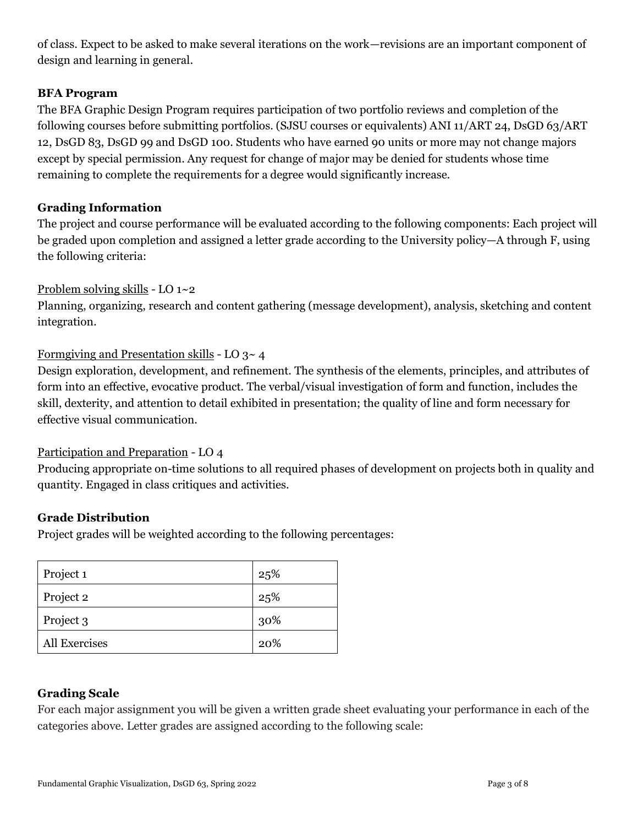of class. Expect to be asked to make several iterations on the work—revisions are an important component of design and learning in general.

## **BFA Program**

The BFA Graphic Design Program requires participation of two portfolio reviews and completion of the following courses before submitting portfolios. (SJSU courses or equivalents) ANI 11/ART 24, DsGD 63/ART 12, DsGD 83, DsGD 99 and DsGD 100. Students who have earned 90 units or more may not change majors except by special permission. Any request for change of major may be denied for students whose time remaining to complete the requirements for a degree would significantly increase.

## **Grading Information**

The project and course performance will be evaluated according to the following components: Each project will be graded upon completion and assigned a letter grade according to the University policy—A through F, using the following criteria:

### Problem solving skills - LO 1~2

Planning, organizing, research and content gathering (message development), analysis, sketching and content integration.

### Formgiving and Presentation skills - LO 3~ 4

Design exploration, development, and refinement. The synthesis of the elements, principles, and attributes of form into an effective, evocative product. The verbal/visual investigation of form and function, includes the skill, dexterity, and attention to detail exhibited in presentation; the quality of line and form necessary for effective visual communication.

### Participation and Preparation - LO 4

Producing appropriate on-time solutions to all required phases of development on projects both in quality and quantity. Engaged in class critiques and activities.

### **Grade Distribution**

Project grades will be weighted according to the following percentages:

| Project 1     | 25% |
|---------------|-----|
| Project 2     | 25% |
| Project 3     | 30% |
| All Exercises | 20% |

# **Grading Scale**

For each major assignment you will be given a written grade sheet evaluating your performance in each of the categories above. Letter grades are assigned according to the following scale: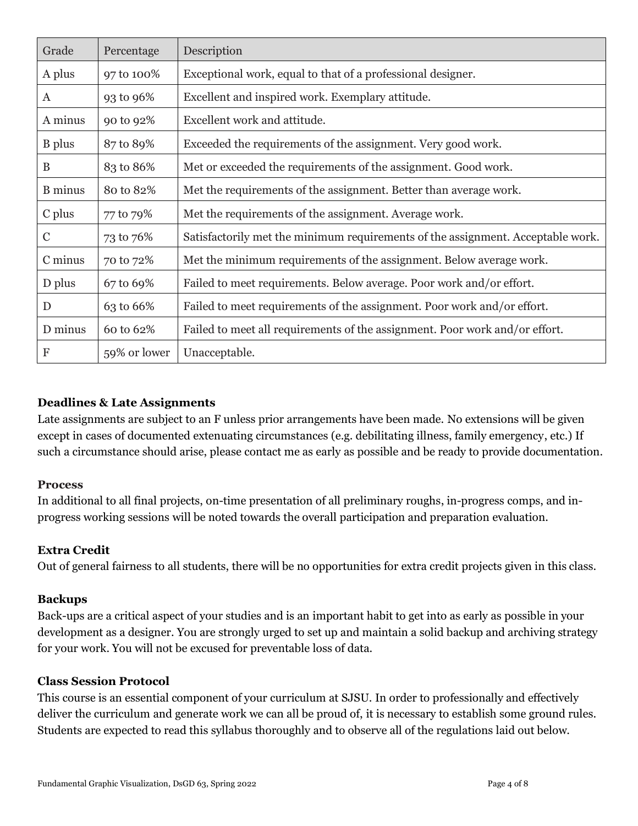| Grade          | Percentage   | Description                                                                     |
|----------------|--------------|---------------------------------------------------------------------------------|
| A plus         | 97 to 100%   | Exceptional work, equal to that of a professional designer.                     |
| A              | 93 to 96%    | Excellent and inspired work. Exemplary attitude.                                |
| A minus        | 90 to 92%    | Excellent work and attitude.                                                    |
| <b>B</b> plus  | 87 to 89%    | Exceeded the requirements of the assignment. Very good work.                    |
| B              | 83 to 86%    | Met or exceeded the requirements of the assignment. Good work.                  |
| <b>B</b> minus | 80 to 82%    | Met the requirements of the assignment. Better than average work.               |
| C plus         | 77 to 79%    | Met the requirements of the assignment. Average work.                           |
| $\mathcal{C}$  | 73 to 76%    | Satisfactorily met the minimum requirements of the assignment. Acceptable work. |
| C minus        | 70 to 72%    | Met the minimum requirements of the assignment. Below average work.             |
| D plus         | 67 to 69%    | Failed to meet requirements. Below average. Poor work and/or effort.            |
| D              | 63 to 66%    | Failed to meet requirements of the assignment. Poor work and/or effort.         |
| D minus        | 60 to 62%    | Failed to meet all requirements of the assignment. Poor work and/or effort.     |
| ${\bf F}$      | 59% or lower | Unacceptable.                                                                   |

# **Deadlines & Late Assignments**

Late assignments are subject to an F unless prior arrangements have been made. No extensions will be given except in cases of documented extenuating circumstances (e.g. debilitating illness, family emergency, etc.) If such a circumstance should arise, please contact me as early as possible and be ready to provide documentation.

### **Process**

In additional to all final projects, on-time presentation of all preliminary roughs, in-progress comps, and inprogress working sessions will be noted towards the overall participation and preparation evaluation.

### **Extra Credit**

Out of general fairness to all students, there will be no opportunities for extra credit projects given in this class.

### **Backups**

Back-ups are a critical aspect of your studies and is an important habit to get into as early as possible in your development as a designer. You are strongly urged to set up and maintain a solid backup and archiving strategy for your work. You will not be excused for preventable loss of data.

### **Class Session Protocol**

This course is an essential component of your curriculum at SJSU. In order to professionally and effectively deliver the curriculum and generate work we can all be proud of, it is necessary to establish some ground rules. Students are expected to read this syllabus thoroughly and to observe all of the regulations laid out below.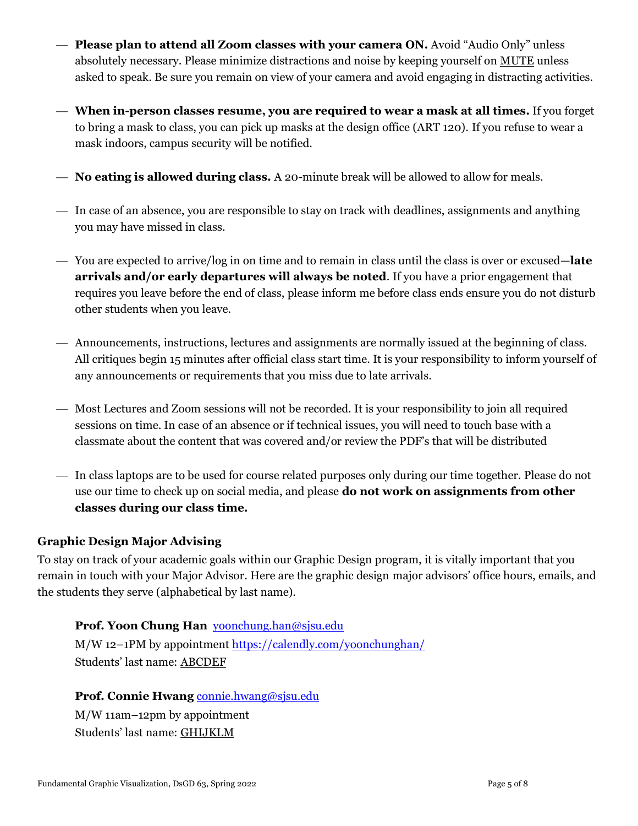- **Please plan to attend all Zoom classes with your camera ON.** Avoid "Audio Only" unless absolutely necessary. Please minimize distractions and noise by keeping yourself on MUTE unless asked to speak. Be sure you remain on view of your camera and avoid engaging in distracting activities.
- **When in-person classes resume, you are required to wear a mask at all times.** If you forget to bring a mask to class, you can pick up masks at the design office (ART 120). If you refuse to wear a mask indoors, campus security will be notified.
- **No eating is allowed during class.** A 20-minute break will be allowed to allow for meals.
- In case of an absence, you are responsible to stay on track with deadlines, assignments and anything you may have missed in class.
- You are expected to arrive/log in on time and to remain in class until the class is over or excused—**late arrivals and/or early departures will always be noted**. If you have a prior engagement that requires you leave before the end of class, please inform me before class ends ensure you do not disturb other students when you leave.
- Announcements, instructions, lectures and assignments are normally issued at the beginning of class. All critiques begin 15 minutes after official class start time. It is your responsibility to inform yourself of any announcements or requirements that you miss due to late arrivals.
- Most Lectures and Zoom sessions will not be recorded. It is your responsibility to join all required sessions on time. In case of an absence or if technical issues, you will need to touch base with a classmate about the content that was covered and/or review the PDF's that will be distributed
- In class laptops are to be used for course related purposes only during our time together. Please do not use our time to check up on social media, and please **do not work on assignments from other classes during our class time.**

# **Graphic Design Major Advising**

To stay on track of your academic goals within our Graphic Design program, it is vitally important that you remain in touch with your Major Advisor. Here are the graphic design major advisors' office hours, emails, and the students they serve (alphabetical by last name).

### **Prof. Yoon Chung Han** [yoonchung.han@sjsu.edu](mailto:yoonchung.han@sjsu.edu)

M/W 12–1PM by appointmen[t https://calendly.com/yoonchunghan/](https://calendly.com/yoonchunghan/) Students' last name: ABCDEF

### **Prof. Connie Hwang** [connie.hwang@sjsu.edu](mailto:connie.hwang@sjsu.edu)

M/W 11am–12pm by appointment Students' last name: GHIJKLM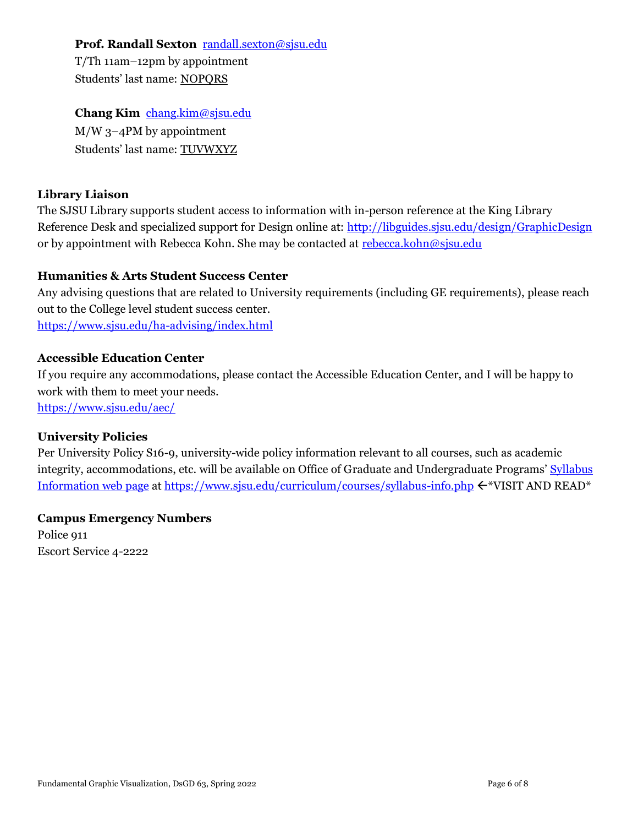### **Prof. Randall Sexton** [randall.sexton@sjsu.edu](mailto:randall.sexton@sjsu.edu)

T/Th 11am–12pm by appointment Students' last name: NOPQRS

## **Chang Kim** [chang.kim@sjsu.edu](mailto:chang.kim@sjsu.edu)

M/W 3–4PM by appointment Students' last name: TUVWXYZ

# **Library Liaison**

The SJSU Library supports student access to information with in-person reference at the King Library Reference Desk and specialized support for Design online at:<http://libguides.sjsu.edu/design/GraphicDesign> or by appointment with Rebecca Kohn. She may be contacted at [rebecca.kohn@sjsu.edu](mailto:rebecca.kohn@sjsu.edu)

# **Humanities & Arts Student Success Center**

Any advising questions that are related to University requirements (including GE requirements), please reach out to the College level student success center. <https://www.sjsu.edu/ha-advising/index.html>

### **Accessible Education Center**

If you require any accommodations, please contact the Accessible Education Center, and I will be happy to work with them to meet your needs. <https://www.sjsu.edu/aec/>

### **University Policies**

Per University Policy S16-9, university-wide policy information relevant to all courses, such as academic integrity, accommodations, etc. will be available on Office of Graduate and Undergraduate Programs' Syllabus [Information web page](http://www.sjsu.edu/gup/syllabusinfo/) at <https://www.sjsu.edu/curriculum/courses/syllabus-info.php>  $\leftarrow^*VISIT$  AND READ\*

# **Campus Emergency Numbers**

Police 911 Escort Service 4-2222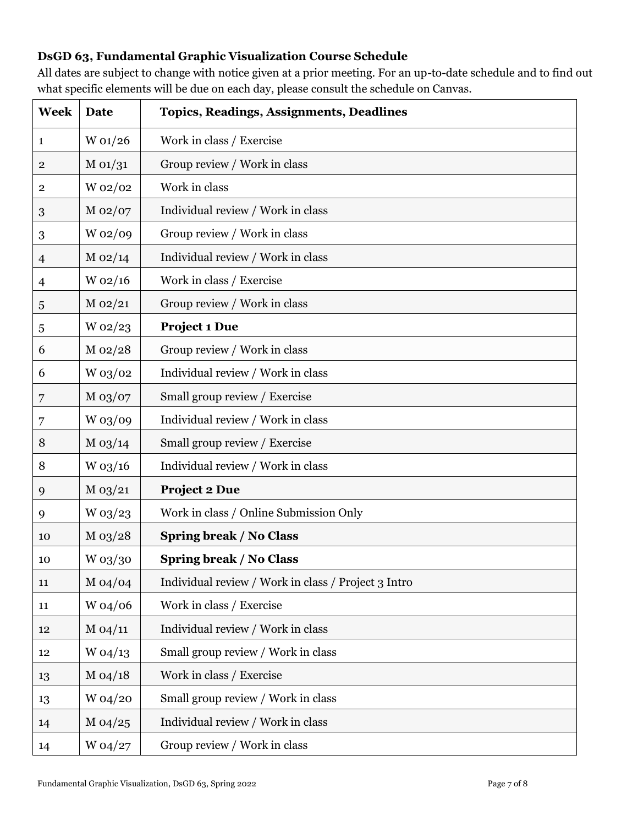# **DsGD 63, Fundamental Graphic Visualization Course Schedule**

All dates are subject to change with notice given at a prior meeting. For an up-to-date schedule and to find out what specific elements will be due on each day, please consult the schedule on Canvas.

| <b>Week</b>             | Date         | <b>Topics, Readings, Assignments, Deadlines</b>     |
|-------------------------|--------------|-----------------------------------------------------|
| 1                       | W 01/26      | Work in class / Exercise                            |
| $\overline{\mathbf{2}}$ | M 01/31      | Group review / Work in class                        |
| $\overline{\mathbf{2}}$ | W 02/02      | Work in class                                       |
| $\boldsymbol{3}$        | M 02/07      | Individual review / Work in class                   |
| 3                       | W 02/09      | Group review / Work in class                        |
| $\overline{4}$          | $M_{02/14}$  | Individual review / Work in class                   |
| 4                       | $W_02/16$    | Work in class / Exercise                            |
| 5                       | $M_{102}/21$ | Group review / Work in class                        |
| $\overline{5}$          | $W_02/23$    | <b>Project 1 Due</b>                                |
| 6                       | M 02/28      | Group review / Work in class                        |
| 6                       | W 03/02      | Individual review / Work in class                   |
| 7                       | $M_{03}/07$  | Small group review / Exercise                       |
| 7                       | W 03/09      | Individual review / Work in class                   |
| 8                       | $M_{03/14}$  | Small group review / Exercise                       |
| 8                       | W 03/16      | Individual review / Work in class                   |
| 9                       | $M_{03/21}$  | <b>Project 2 Due</b>                                |
| 9                       | W 03/23      | Work in class / Online Submission Only              |
| 10                      | $M_{03/28}$  | <b>Spring break / No Class</b>                      |
| 10                      | $W$ 03/30    | <b>Spring break / No Class</b>                      |
| 11                      | $M_{04}/04$  | Individual review / Work in class / Project 3 Intro |
| 11                      | W 04/06      | Work in class / Exercise                            |
| 12                      | M 04/11      | Individual review / Work in class                   |
| 12                      | $W_04/13$    | Small group review / Work in class                  |
| 13                      | $M_{04/18}$  | Work in class / Exercise                            |
| 13                      | W 04/20      | Small group review / Work in class                  |
| 14                      | $M_{04/25}$  | Individual review / Work in class                   |
| 14                      | W 04/27      | Group review / Work in class                        |